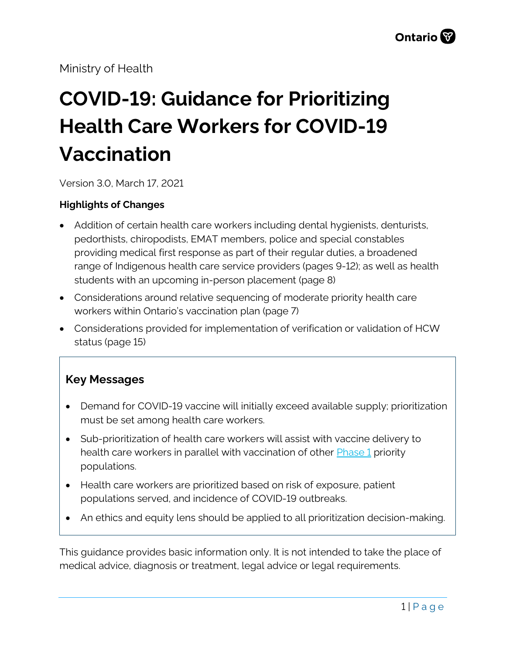Ministry of Health

# **COVID-19: Guidance for Prioritizing Health Care Workers for COVID-19 Vaccination**

Version 3.0, March 17, 2021

#### **Highlights of Changes**

- Addition of certain health care workers including dental hygienists, denturists, pedorthists, chiropodists, EMAT members, police and special constables providing medical first response as part of their regular duties, a broadened range of Indigenous health care service providers (pages 9-12); as well as health students with an upcoming in-person placement (page 8)
- Considerations around relative sequencing of moderate priority health care workers within Ontario's vaccination plan (page 7)
- Considerations provided for implementation of verification or validation of HCW status (page 15)

### **Key Messages**

- Demand for COVID-19 vaccine will initially exceed available supply; prioritization must be set among health care workers.
- Sub-prioritization of health care workers will assist with vaccine delivery to health care workers in parallel with vaccination of other **Phase 1** priority populations.
- Health care workers are prioritized based on risk of exposure, patient populations served, and incidence of COVID-19 outbreaks.
- An ethics and equity lens should be applied to all prioritization decision-making.

This guidance provides basic information only. It is not intended to take the place of medical advice, diagnosis or treatment, legal advice or legal requirements.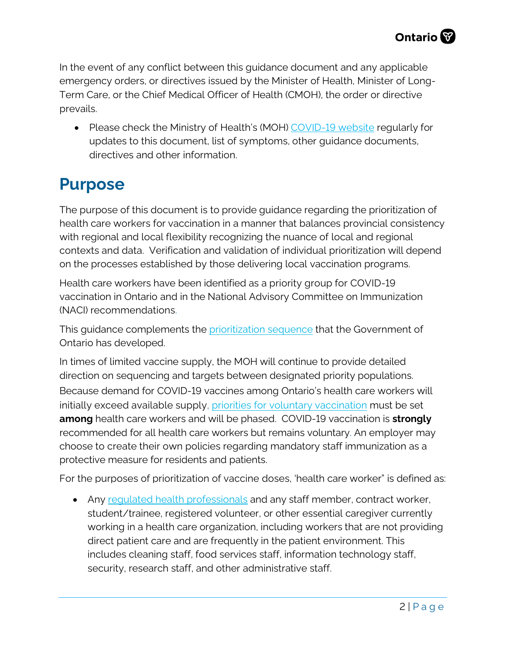In the event of any conflict between this guidance document and any applicable emergency orders, or directives issued by the Minister of Health, Minister of Long-Term Care, or the Chief Medical Officer of Health (CMOH), the order or directive prevails.

• Please check the Ministry of Health's (MOH) [COVID-19 website](http://www.health.gov.on.ca/en/pro/programs/publichealth/coronavirus/2019_guidance.aspx) regularly for updates to this document, list of symptoms, other guidance documents, directives and other information.

### **Purpose**

The purpose of this document is to provide guidance regarding the prioritization of health care workers for vaccination in a manner that balances provincial consistency with regional and local flexibility recognizing the nuance of local and regional contexts and data. Verification and validation of individual prioritization will depend on the processes established by those delivering local vaccination programs.

Health care workers have been identified as a priority group for COVID-19 vaccination in Ontario and in the National Advisory Committee on Immunization (NACI) recommendations.

This guidance complements the [prioritization sequence](https://covid-19.ontario.ca/getting-covid-19-vaccine-ontario#phase-2) that the Government of Ontario has developed.

In times of limited vaccine supply, the MOH will continue to provide detailed direction on sequencing and targets between designated priority populations. Because demand for COVID-19 vaccines among Ontario's health care workers will initially exceed available supply, [priorities for](#page-12-0) voluntary vaccination must be set **among** health care workers and will be phased. COVID-19 vaccination is **strongly**  recommended for all health care workers but remains voluntary. An employer may choose to create their own policies regarding mandatory staff immunization as a protective measure for residents and patients.

For the purposes of prioritization of vaccine doses, 'health care worker" is defined as:

• Any requiated health professionals and any staff member, contract worker, student/trainee, registered volunteer, or other essential caregiver currently working in a health care organization, including workers that are not providing direct patient care and are frequently in the patient environment. This includes cleaning staff, food services staff, information technology staff, security, research staff, and other administrative staff.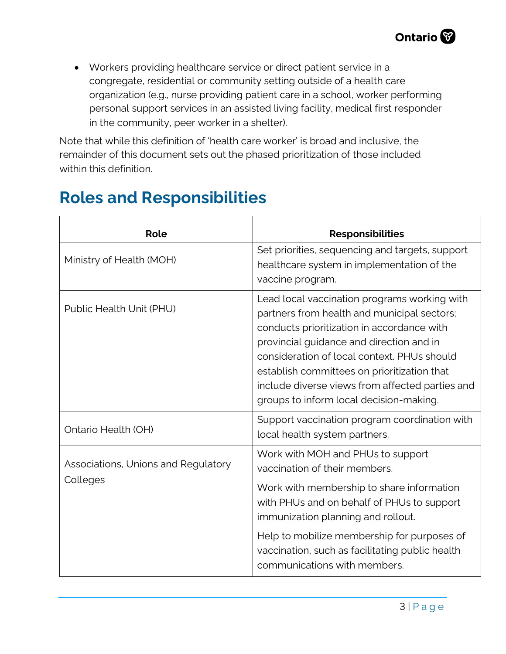• Workers providing healthcare service or direct patient service in a congregate, residential or community setting outside of a health care organization (e.g., nurse providing patient care in a school, worker performing personal support services in an assisted living facility, medical first responder in the community, peer worker in a shelter).

Note that while this definition of 'health care worker' is broad and inclusive, the remainder of this document sets out the phased prioritization of those included within this definition.

| Role                                            | <b>Responsibilities</b>                                                                                                                                                                                                                                                                                                                                                           |
|-------------------------------------------------|-----------------------------------------------------------------------------------------------------------------------------------------------------------------------------------------------------------------------------------------------------------------------------------------------------------------------------------------------------------------------------------|
| Ministry of Health (MOH)                        | Set priorities, sequencing and targets, support<br>healthcare system in implementation of the<br>vaccine program.                                                                                                                                                                                                                                                                 |
| Public Health Unit (PHU)                        | Lead local vaccination programs working with<br>partners from health and municipal sectors;<br>conducts prioritization in accordance with<br>provincial guidance and direction and in<br>consideration of local context. PHUs should<br>establish committees on prioritization that<br>include diverse views from affected parties and<br>groups to inform local decision-making. |
| Ontario Health (OH)                             | Support vaccination program coordination with<br>local health system partners.                                                                                                                                                                                                                                                                                                    |
| Associations, Unions and Regulatory<br>Colleges | Work with MOH and PHUs to support<br>vaccination of their members.<br>Work with membership to share information                                                                                                                                                                                                                                                                   |
|                                                 | with PHUs and on behalf of PHUs to support<br>immunization planning and rollout.                                                                                                                                                                                                                                                                                                  |
|                                                 | Help to mobilize membership for purposes of<br>vaccination, such as facilitating public health<br>communications with members.                                                                                                                                                                                                                                                    |

## **Roles and Responsibilities**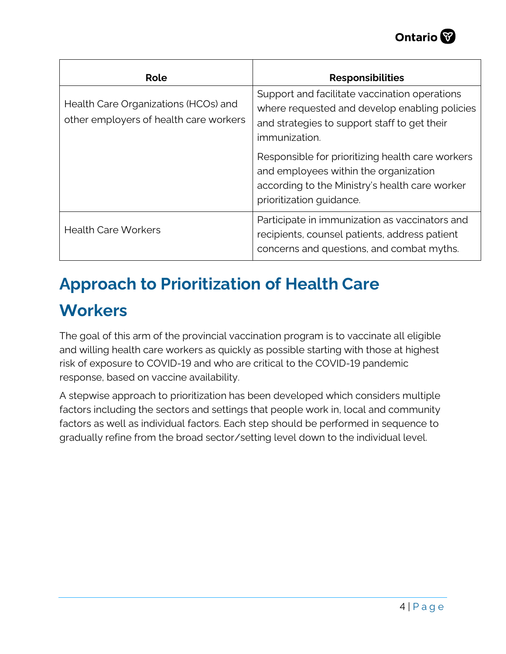| Role                                                                           | <b>Responsibilities</b>                                                                                                                                                                                                                                      |
|--------------------------------------------------------------------------------|--------------------------------------------------------------------------------------------------------------------------------------------------------------------------------------------------------------------------------------------------------------|
| Health Care Organizations (HCOs) and<br>other employers of health care workers | Support and facilitate vaccination operations<br>where requested and develop enabling policies<br>and strategies to support staff to get their<br>immunization.<br>Responsible for prioritizing health care workers<br>and employees within the organization |
|                                                                                | according to the Ministry's health care worker<br>prioritization guidance.                                                                                                                                                                                   |
| <b>Health Care Workers</b>                                                     | Participate in immunization as vaccinators and<br>recipients, counsel patients, address patient<br>concerns and questions, and combat myths.                                                                                                                 |

# **Approach to Prioritization of Health Care Workers**

The goal of this arm of the provincial vaccination program is to vaccinate all eligible and willing health care workers as quickly as possible starting with those at highest risk of exposure to COVID-19 and who are critical to the COVID-19 pandemic response, based on vaccine availability.

A stepwise approach to prioritization has been developed which considers multiple factors including the sectors and settings that people work in, local and community factors as well as individual factors. Each step should be performed in sequence to gradually refine from the broad sector/setting level down to the individual level.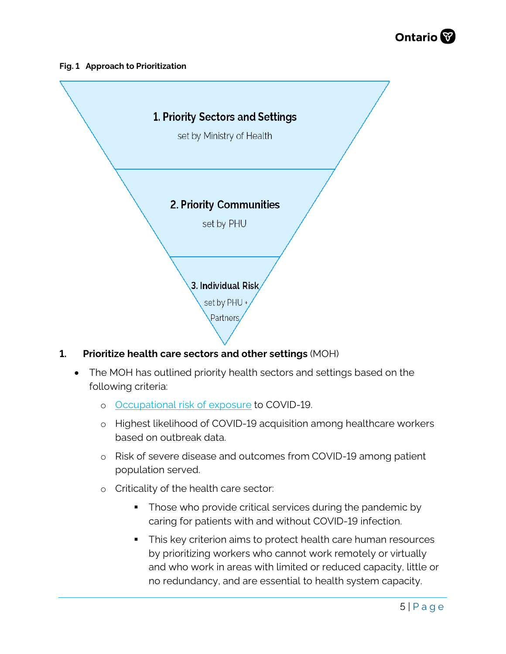

#### **Fig. 1 Approach to Prioritization**



#### **1. Prioritize health care sectors and other settings** (MOH)

- The MOH has outlined priority health sectors and settings based on the following criteria:
	- o [Occupational risk of exposure](https://oahpp.shinyapps.io/Occup_Covid19_App/) to COVID-19.
	- o Highest likelihood of COVID-19 acquisition among healthcare workers based on outbreak data.
	- o Risk of severe disease and outcomes from COVID-19 among patient population served.
	- o Criticality of the health care sector:
		- **Those who provide critical services during the pandemic by** caring for patients with and without COVID-19 infection.
		- This key criterion aims to protect health care human resources by prioritizing workers who cannot work remotely or virtually and who work in areas with limited or reduced capacity, little or no redundancy, and are essential to health system capacity.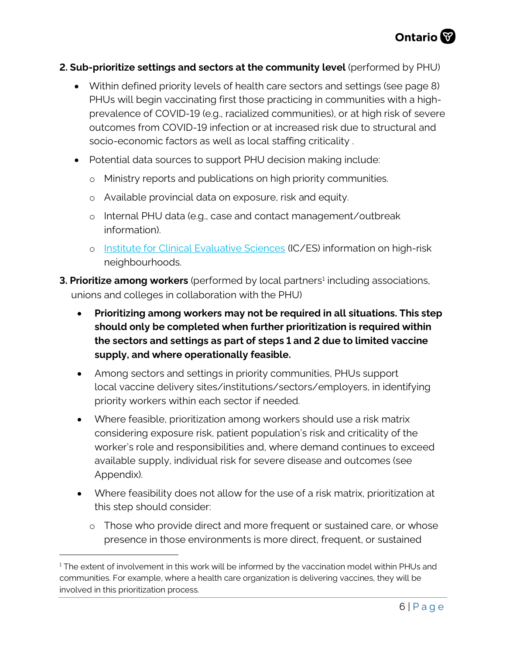#### **2. Sub-prioritize settings and sectors at the community level** (performed by PHU)

- Within defined priority levels of health care sectors and settings (see page 8) PHUs will begin vaccinating first those practicing in communities with a highprevalence of COVID-19 (e.g., racialized communities), or at high risk of severe outcomes from COVID-19 infection or at increased risk due to structural and socio-economic factors as well as local staffing criticality .
- Potential data sources to support PHU decision making include:
	- o Ministry reports and publications on high priority communities.
	- o Available provincial data on exposure, risk and equity.
	- o Internal PHU data (e.g., case and contact management/outbreak information).
	- o [Institute for Clinical Evaluative Sciences](https://www.ices.on.ca/) (IC/ES) information on high-risk neighbourhoods.
- **3. Prioritize among workers** (performed by local partners<sup>1</sup> including associations, unions and colleges in collaboration with the PHU)
	- **Prioritizing among workers may not be required in all situations. This step should only be completed when further prioritization is required within the sectors and settings as part of steps 1 and 2 due to limited vaccine supply, and where operationally feasible.**
	- Among sectors and settings in priority communities, PHUs support local vaccine delivery sites/institutions/sectors/employers, in identifying priority workers within each sector if needed.
	- Where feasible, prioritization among workers should use a risk matrix considering exposure risk, patient population's risk and criticality of the worker's role and responsibilities and, where demand continues to exceed available supply, individual risk for severe disease and outcomes (see Appendix).
	- Where feasibility does not allow for the use of a risk matrix, prioritization at this step should consider:
		- $\circ$  Those who provide direct and more frequent or sustained care, or whose presence in those environments is more direct, frequent, or sustained

<span id="page-5-0"></span><sup>&</sup>lt;sup>1</sup> The extent of involvement in this work will be informed by the vaccination model within PHUs and communities. For example, where a health care organization is delivering vaccines, they will be involved in this prioritization process.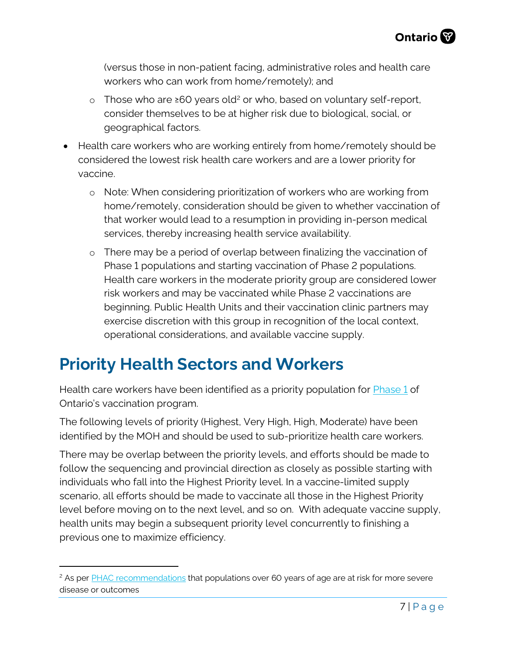(versus those in non-patient facing, administrative roles and health care workers who can work from home/remotely); and

- o Those who are ≥60 years old[2](#page-6-0) or who, based on voluntary self-report, consider themselves to be at higher risk due to biological, social, or geographical factors.
- Health care workers who are working entirely from home/remotely should be considered the lowest risk health care workers and are a lower priority for vaccine.
	- o Note: When considering prioritization of workers who are working from home/remotely, consideration should be given to whether vaccination of that worker would lead to a resumption in providing in-person medical services, thereby increasing health service availability.
	- o There may be a period of overlap between finalizing the vaccination of Phase 1 populations and starting vaccination of Phase 2 populations. Health care workers in the moderate priority group are considered lower risk workers and may be vaccinated while Phase 2 vaccinations are beginning. Public Health Units and their vaccination clinic partners may exercise discretion with this group in recognition of the local context, operational considerations, and available vaccine supply.

## **Priority Health Sectors and Workers**

Health care workers have been identified as a priority population for **Phase 1** of Ontario's vaccination program.

The following levels of priority (Highest, Very High, High, Moderate) have been identified by the MOH and should be used to sub-prioritize health care workers.

There may be overlap between the priority levels, and efforts should be made to follow the sequencing and provincial direction as closely as possible starting with individuals who fall into the Highest Priority level. In a vaccine-limited supply scenario, all efforts should be made to vaccinate all those in the Highest Priority level before moving on to the next level, and so on. With adequate vaccine supply, health units may begin a subsequent priority level concurrently to finishing a previous one to maximize efficiency.

<span id="page-6-0"></span><sup>&</sup>lt;sup>2</sup> As per [PHAC recommendations](https://www.canada.ca/en/public-health/services/publications/diseases-conditions/people-high-risk-for-severe-illness-covid-19.html) that populations over 60 years of age are at risk for more severe disease or outcomes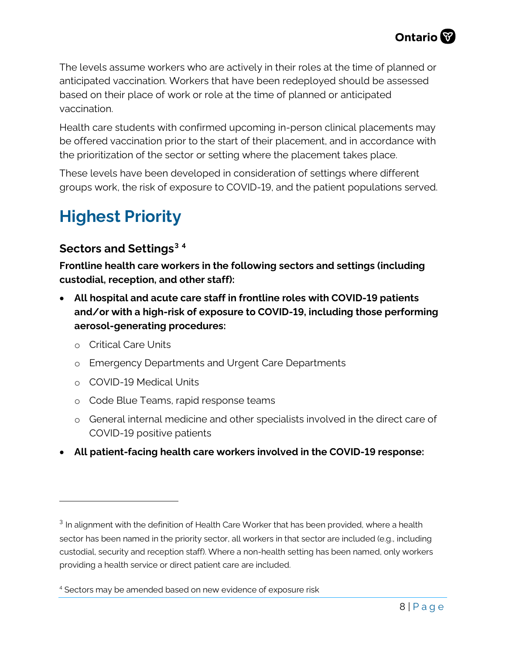The levels assume workers who are actively in their roles at the time of planned or anticipated vaccination. Workers that have been redeployed should be assessed based on their place of work or role at the time of planned or anticipated vaccination.

Health care students with confirmed upcoming in-person clinical placements may be offered vaccination prior to the start of their placement, and in accordance with the prioritization of the sector or setting where the placement takes place.

These levels have been developed in consideration of settings where different groups work, the risk of exposure to COVID-19, and the patient populations served.

# **Highest Priority**

### **Sectors and Settings[3](#page-7-0) [4](#page-7-1)**

**Frontline health care workers in the following sectors and settings (including custodial, reception, and other staff):**

- **All hospital and acute care staff in frontline roles with COVID-19 patients and/or with a high-risk of exposure to COVID-19, including those performing aerosol-generating procedures:**
	- o Critical Care Units
	- o Emergency Departments and Urgent Care Departments
	- o COVID-19 Medical Units
	- o Code Blue Teams, rapid response teams
	- o General internal medicine and other specialists involved in the direct care of COVID-19 positive patients
- **All patient-facing health care workers involved in the COVID-19 response:**

<span id="page-7-0"></span><sup>&</sup>lt;sup>3</sup> In alignment with the definition of Health Care Worker that has been provided, where a health sector has been named in the priority sector, all workers in that sector are included (e.g., including custodial, security and reception staff). Where a non-health setting has been named, only workers providing a health service or direct patient care are included.

<span id="page-7-1"></span><sup>4</sup> Sectors may be amended based on new evidence of exposure risk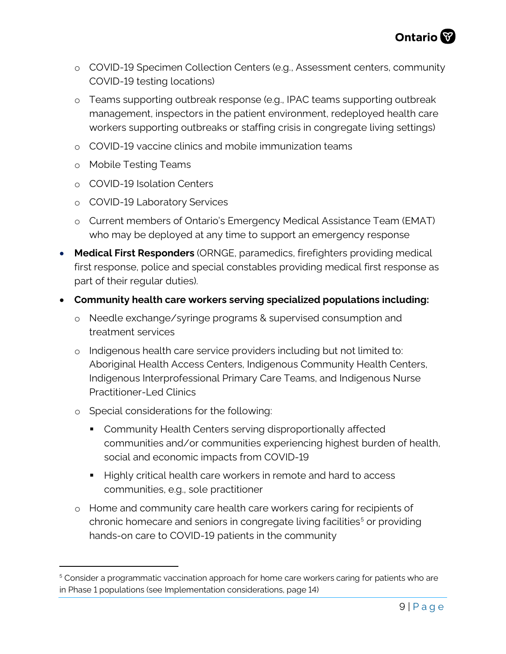- o COVID-19 Specimen Collection Centers (e.g., Assessment centers, community COVID-19 testing locations)
- o Teams supporting outbreak response (e.g., IPAC teams supporting outbreak management, inspectors in the patient environment, redeployed health care workers supporting outbreaks or staffing crisis in congregate living settings)
- o COVID-19 vaccine clinics and mobile immunization teams
- o Mobile Testing Teams
- o COVID-19 Isolation Centers
- o COVID-19 Laboratory Services
- o Current members of Ontario's Emergency Medical Assistance Team (EMAT) who may be deployed at any time to support an emergency response
- **Medical First Responders** (ORNGE, paramedics, firefighters providing medical first response, police and special constables providing medical first response as part of their regular duties).
- **Community health care workers serving specialized populations including:**
	- o Needle exchange/syringe programs & supervised consumption and treatment services
	- o Indigenous health care service providers including but not limited to: Aboriginal Health Access Centers, Indigenous Community Health Centers, Indigenous Interprofessional Primary Care Teams, and Indigenous Nurse Practitioner-Led Clinics
	- o Special considerations for the following:
		- **Community Health Centers serving disproportionally affected** communities and/or communities experiencing highest burden of health, social and economic impacts from COVID-19
		- Highly critical health care workers in remote and hard to access communities, e.g., sole practitioner
	- o Home and community care health care workers caring for recipients of chronic homecare and seniors in congregate living facilities<sup>[5](#page-8-0)</sup> or providing hands-on care to COVID-19 patients in the community

<span id="page-8-0"></span><sup>&</sup>lt;sup>5</sup> Consider a programmatic vaccination approach for home care workers caring for patients who are in Phase 1 populations (see Implementation considerations, page 14)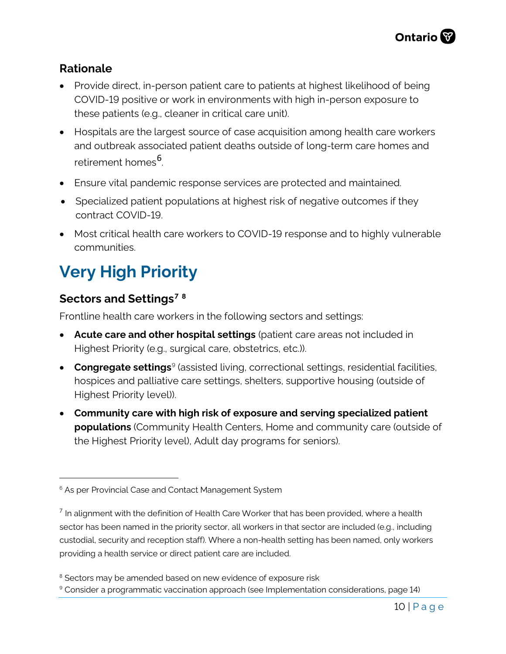### **Rationale**

- Provide direct, in-person patient care to patients at highest likelihood of being COVID-19 positive or work in environments with high in-person exposure to these patients (e.g., cleaner in critical care unit).
- Hospitals are the largest source of case acquisition among health care workers and outbreak associated patient deaths outside of long-term care homes and retirement homes<sup>[6](#page-9-0)</sup>. .
- Ensure vital pandemic response services are protected and maintained.
- Specialized patient populations at highest risk of negative outcomes if they contract COVID-19.
- Most critical health care workers to COVID-19 response and to highly vulnerable communities.

# **Very High Priority**

### **Sectors and Settings[7](#page-9-1) [8](#page-9-2)**

Frontline health care workers in the following sectors and settings:

- **Acute care and other hospital settings** (patient care areas not included in Highest Priority (e.g., surgical care, obstetrics, etc.)).
- **Congregate settings**<sup>[9](#page-9-3)</sup> (assisted living, correctional settings, residential facilities, hospices and palliative care settings, shelters, supportive housing (outside of Highest Priority level)).
- **Community care with high risk of exposure and serving specialized patient populations** (Community Health Centers, Home and community care (outside of the Highest Priority level), Adult day programs for seniors).

<span id="page-9-0"></span><sup>&</sup>lt;sup>6</sup> As per Provincial Case and Contact Management System

<span id="page-9-1"></span> $<sup>7</sup>$  In alignment with the definition of Health Care Worker that has been provided, where a health</sup> sector has been named in the priority sector, all workers in that sector are included (e.g., including custodial, security and reception staff). Where a non-health setting has been named, only workers providing a health service or direct patient care are included.

<span id="page-9-2"></span><sup>&</sup>lt;sup>8</sup> Sectors may be amended based on new evidence of exposure risk

<span id="page-9-3"></span><sup>&</sup>lt;sup>9</sup> Consider a programmatic vaccination approach (see Implementation considerations, page 14)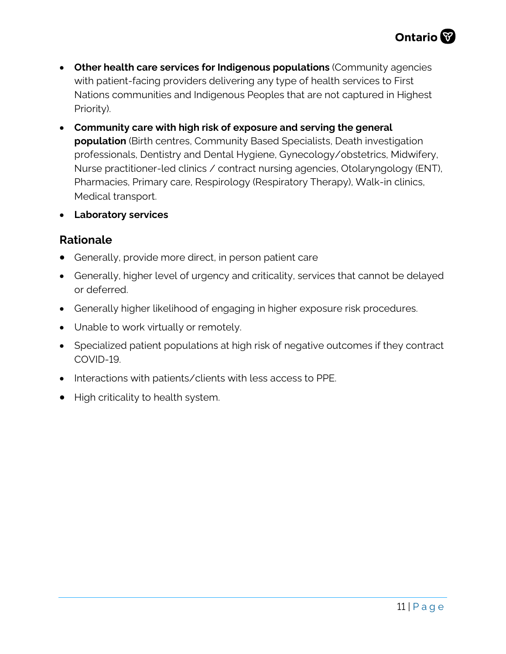- **Other health care services for Indigenous populations** (Community agencies with patient-facing providers delivering any type of health services to First Nations communities and Indigenous Peoples that are not captured in Highest Priority).
- **Community care with high risk of exposure and serving the general population** (Birth centres, Community Based Specialists, Death investigation professionals, Dentistry and Dental Hygiene, Gynecology/obstetrics, Midwifery, Nurse practitioner-led clinics / contract nursing agencies, Otolaryngology (ENT), Pharmacies, Primary care, Respirology (Respiratory Therapy), Walk-in clinics, Medical transport.
- **Laboratory services**

#### **Rationale**

- Generally, provide more direct, in person patient care
- Generally, higher level of urgency and criticality, services that cannot be delayed or deferred.
- Generally higher likelihood of engaging in higher exposure risk procedures.
- Unable to work virtually or remotely.
- Specialized patient populations at high risk of negative outcomes if they contract COVID-19.
- Interactions with patients/clients with less access to PPE.
- High criticality to health system.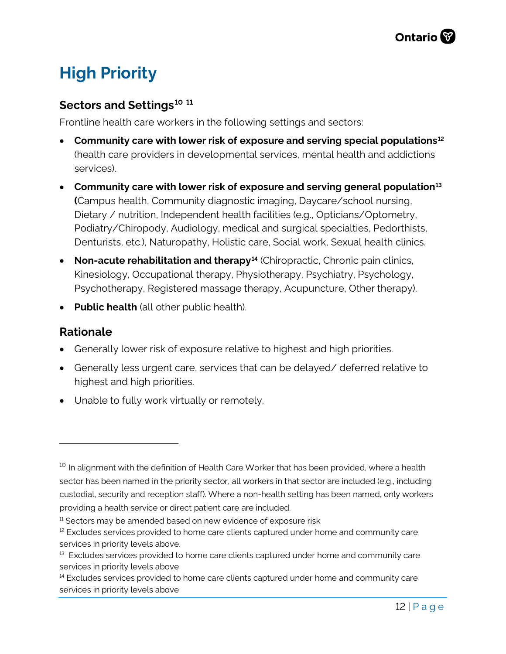# **High Priority**

#### **Sectors and Settings[10](#page-11-0) [11](#page-11-1)**

Frontline health care workers in the following settings and sectors:

- **Community care with lower risk of exposure and serving special populations[12](#page-11-2)** (health care providers in developmental services, mental health and addictions services).
- **Community care with lower risk of exposure and serving general population[13](#page-11-3) (**Campus health, Community diagnostic imaging, Daycare/school nursing, Dietary / nutrition, Independent health facilities (e.g., Opticians/Optometry, Podiatry/Chiropody, Audiology, medical and surgical specialties, Pedorthists, Denturists, etc.), Naturopathy, Holistic care, Social work, Sexual health clinics.
- **Non-acute rehabilitation and therapy[14](#page-11-4)** (Chiropractic, Chronic pain clinics, Kinesiology, Occupational therapy, Physiotherapy, Psychiatry, Psychology, Psychotherapy, Registered massage therapy, Acupuncture, Other therapy).
- **Public health** (all other public health).

#### **Rationale**

- Generally lower risk of exposure relative to highest and high priorities.
- Generally less urgent care, services that can be delayed/ deferred relative to highest and high priorities.
- Unable to fully work virtually or remotely.

<span id="page-11-0"></span> $10$  In alignment with the definition of Health Care Worker that has been provided, where a health sector has been named in the priority sector, all workers in that sector are included (e.g., including custodial, security and reception staff). Where a non-health setting has been named, only workers providing a health service or direct patient care are included.

<span id="page-11-1"></span> $11$  Sectors may be amended based on new evidence of exposure risk

<span id="page-11-2"></span> $12$  Excludes services provided to home care clients captured under home and community care services in priority levels above.

<span id="page-11-3"></span> $13$  Excludes services provided to home care clients captured under home and community care services in priority levels above

<span id="page-11-4"></span><sup>&</sup>lt;sup>14</sup> Excludes services provided to home care clients captured under home and community care services in priority levels above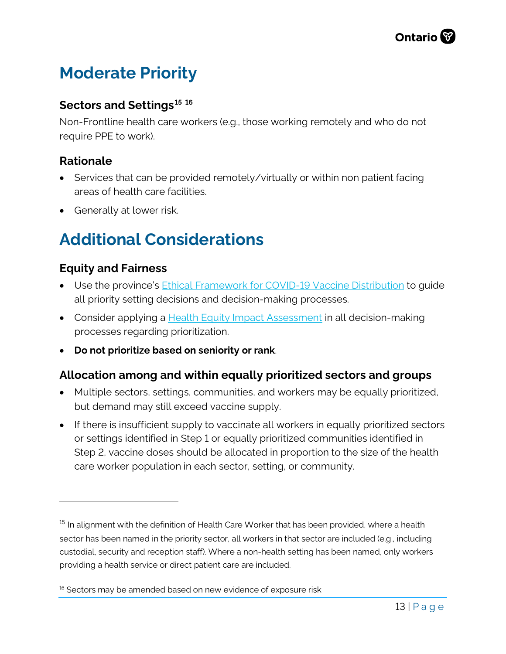# **Moderate Priority**

#### **Sectors and Settings[15](#page-12-1) [16](#page-12-2)**

Non-Frontline health care workers (e.g., those working remotely and who do not require PPE to work).

### **Rationale**

- Services that can be provided remotely/virtually or within non patient facing areas of health care facilities.
- Generally at lower risk.

# <span id="page-12-0"></span>**Additional Considerations**

### **Equity and Fairness**

- Use the province's [Ethical Framework for COVID-19 Vaccine Distribution](https://files.ontario.ca/moh-ethical-framework-for-covid-19-vaccine-distribution-en-2020-12-30.pdf) to guide all priority setting decisions and decision-making processes.
- Consider applying a **Health Equity Impact Assessment** in all decision-making processes regarding prioritization.
- **Do not prioritize based on seniority or rank**.

#### **Allocation among and within equally prioritized sectors and groups**

- Multiple sectors, settings, communities, and workers may be equally prioritized, but demand may still exceed vaccine supply.
- If there is insufficient supply to vaccinate all workers in equally prioritized sectors or settings identified in Step 1 or equally prioritized communities identified in Step 2, vaccine doses should be allocated in proportion to the size of the health care worker population in each sector, setting, or community.

<span id="page-12-1"></span><sup>&</sup>lt;sup>15</sup> In alignment with the definition of Health Care Worker that has been provided, where a health sector has been named in the priority sector, all workers in that sector are included (e.g., including custodial, security and reception staff). Where a non-health setting has been named, only workers providing a health service or direct patient care are included.

<span id="page-12-2"></span> $16$  Sectors may be amended based on new evidence of exposure risk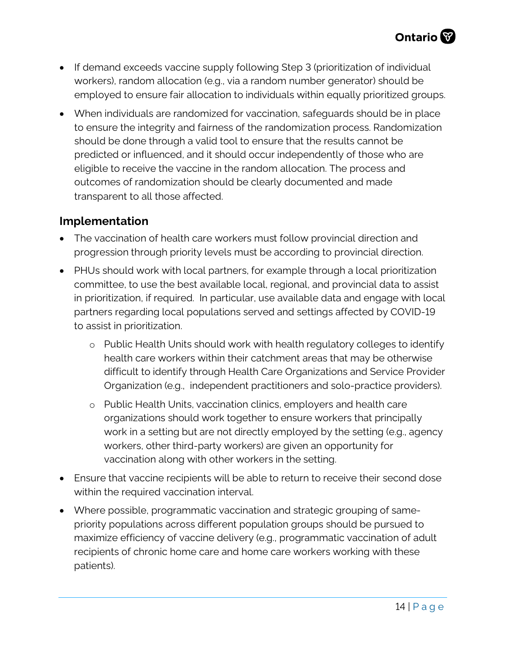- If demand exceeds vaccine supply following Step 3 (prioritization of individual workers), random allocation (e.g., via a random number generator) should be employed to ensure fair allocation to individuals within equally prioritized groups.
- When individuals are randomized for vaccination, safeguards should be in place to ensure the integrity and fairness of the randomization process. Randomization should be done through a valid tool to ensure that the results cannot be predicted or influenced, and it should occur independently of those who are eligible to receive the vaccine in the random allocation. The process and outcomes of randomization should be clearly documented and made transparent to all those affected.

### **Implementation**

- The vaccination of health care workers must follow provincial direction and progression through priority levels must be according to provincial direction.
- PHUs should work with local partners, for example through a local prioritization committee, to use the best available local, regional, and provincial data to assist in prioritization, if required. In particular, use available data and engage with local partners regarding local populations served and settings affected by COVID-19 to assist in prioritization.
	- o Public Health Units should work with health regulatory colleges to identify health care workers within their catchment areas that may be otherwise difficult to identify through Health Care Organizations and Service Provider Organization (e.g., independent practitioners and solo-practice providers).
	- o Public Health Units, vaccination clinics, employers and health care organizations should work together to ensure workers that principally work in a setting but are not directly employed by the setting (e.g., agency workers, other third-party workers) are given an opportunity for vaccination along with other workers in the setting.
- Ensure that vaccine recipients will be able to return to receive their second dose within the required vaccination interval.
- Where possible, programmatic vaccination and strategic grouping of samepriority populations across different population groups should be pursued to maximize efficiency of vaccine delivery (e.g., programmatic vaccination of adult recipients of chronic home care and home care workers working with these patients).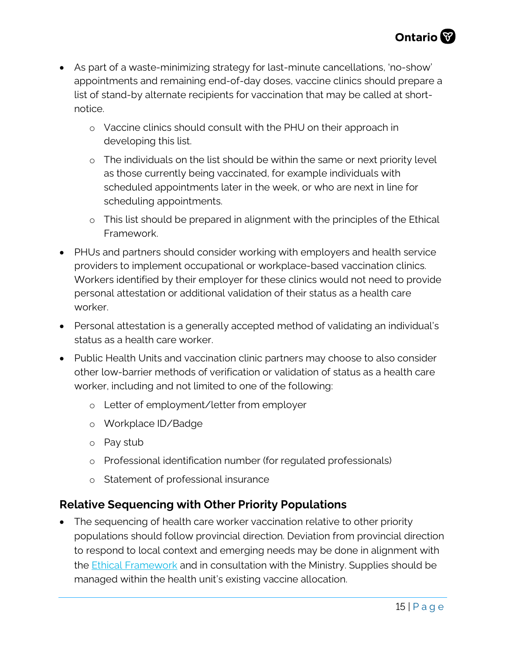- As part of a waste-minimizing strategy for last-minute cancellations, 'no-show' appointments and remaining end-of-day doses, vaccine clinics should prepare a list of stand-by alternate recipients for vaccination that may be called at shortnotice.
	- o Vaccine clinics should consult with the PHU on their approach in developing this list.
	- o The individuals on the list should be within the same or next priority level as those currently being vaccinated, for example individuals with scheduled appointments later in the week, or who are next in line for scheduling appointments.
	- o This list should be prepared in alignment with the principles of the Ethical Framework.
- PHUs and partners should consider working with employers and health service providers to implement occupational or workplace-based vaccination clinics. Workers identified by their employer for these clinics would not need to provide personal attestation or additional validation of their status as a health care worker.
- Personal attestation is a generally accepted method of validating an individual's status as a health care worker.
- Public Health Units and vaccination clinic partners may choose to also consider other low-barrier methods of verification or validation of status as a health care worker, including and not limited to one of the following:
	- o Letter of employment/letter from employer
	- o Workplace ID/Badge
	- o Pay stub
	- o Professional identification number (for regulated professionals)
	- o Statement of professional insurance

### **Relative Sequencing with Other Priority Populations**

• The sequencing of health care worker vaccination relative to other priority populations should follow provincial direction. Deviation from provincial direction to respond to local context and emerging needs may be done in alignment with the **Ethical Framework** and in consultation with the Ministry. Supplies should be managed within the health unit's existing vaccine allocation.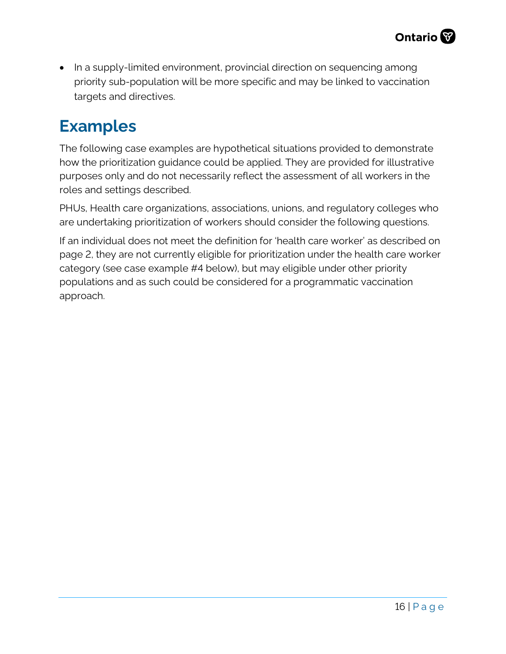• In a supply-limited environment, provincial direction on sequencing among priority sub-population will be more specific and may be linked to vaccination targets and directives.

### **Examples**

The following case examples are hypothetical situations provided to demonstrate how the prioritization guidance could be applied. They are provided for illustrative purposes only and do not necessarily reflect the assessment of all workers in the roles and settings described.

PHUs, Health care organizations, associations, unions, and regulatory colleges who are undertaking prioritization of workers should consider the following questions.

If an individual does not meet the definition for 'health care worker' as described on page 2, they are not currently eligible for prioritization under the health care worker category (see case example #4 below), but may eligible under other priority populations and as such could be considered for a programmatic vaccination approach.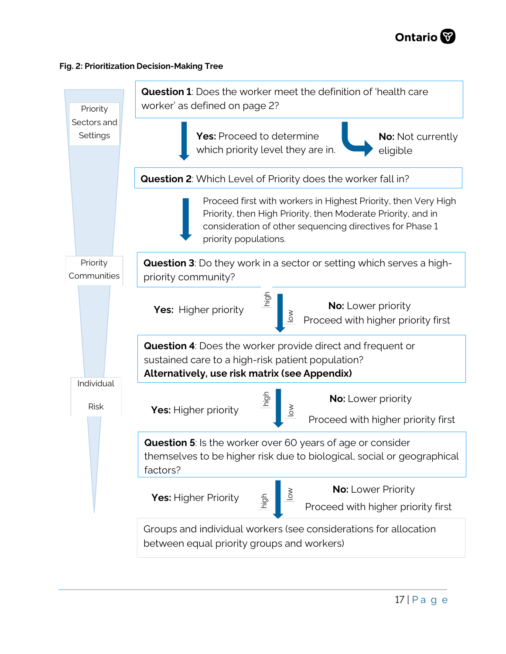

#### **Fig. 2: Prioritization Decision-Making Tree**

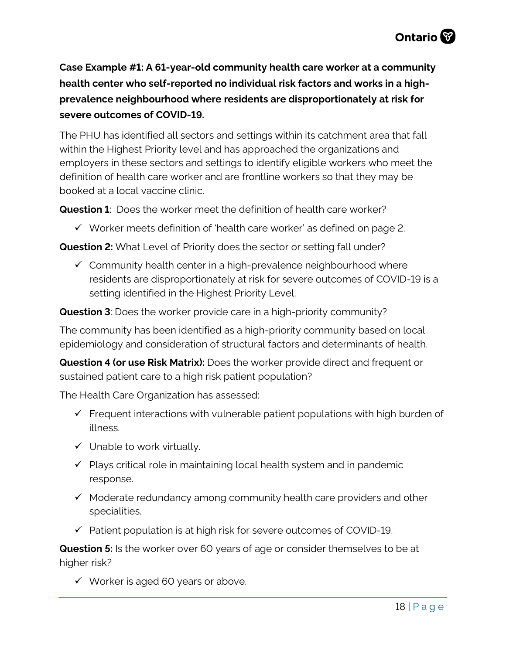**Case Example #1: A 61-year-old community health care worker at a community health center who self-reported no individual risk factors and works in a highprevalence neighbourhood where residents are disproportionately at risk for severe outcomes of COVID-19.** 

The PHU has identified all sectors and settings within its catchment area that fall within the Highest Priority level and has approached the organizations and employers in these sectors and settings to identify eligible workers who meet the definition of health care worker and are frontline workers so that they may be booked at a local vaccine clinic.

**Question 1**: Does the worker meet the definition of health care worker?

 $\checkmark$  Worker meets definition of 'health care worker' as defined on page 2.

**Question 2:** What Level of Priority does the sector or setting fall under?

 $\checkmark$  Community health center in a high-prevalence neighbourhood where residents are disproportionately at risk for severe outcomes of COVID-19 is a setting identified in the Highest Priority Level.

**Question 3**: Does the worker provide care in a high-priority community?

The community has been identified as a high-priority community based on local epidemiology and consideration of structural factors and determinants of health.

**Question 4 (or use Risk Matrix):** Does the worker provide direct and frequent or sustained patient care to a high risk patient population?

The Health Care Organization has assessed:

- $\checkmark$  Frequent interactions with vulnerable patient populations with high burden of illness.
- $\checkmark$  Unable to work virtually.
- $\checkmark$  Plays critical role in maintaining local health system and in pandemic response.
- $\checkmark$  Moderate redundancy among community health care providers and other specialities.
- $\checkmark$  Patient population is at high risk for severe outcomes of COVID-19.

**Question 5:** Is the worker over 60 years of age or consider themselves to be at higher risk?

 $\checkmark$  Worker is aged 60 years or above.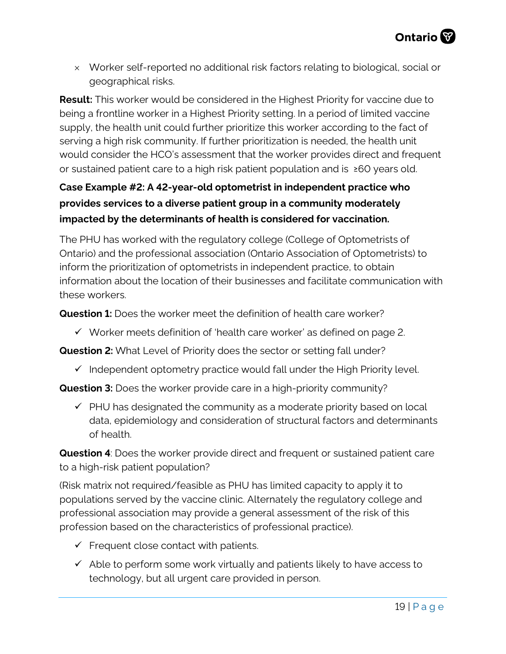× Worker self-reported no additional risk factors relating to biological, social or geographical risks.

**Result:** This worker would be considered in the Highest Priority for vaccine due to being a frontline worker in a Highest Priority setting. In a period of limited vaccine supply, the health unit could further prioritize this worker according to the fact of serving a high risk community. If further prioritization is needed, the health unit would consider the HCO's assessment that the worker provides direct and frequent or sustained patient care to a high risk patient population and is ≥60 years old.

### **Case Example #2: A 42-year-old optometrist in independent practice who provides services to a diverse patient group in a community moderately impacted by the determinants of health is considered for vaccination.**

The PHU has worked with the regulatory college (College of Optometrists of Ontario) and the professional association (Ontario Association of Optometrists) to inform the prioritization of optometrists in independent practice, to obtain information about the location of their businesses and facilitate communication with these workers.

**Question 1:** Does the worker meet the definition of health care worker?

 $\checkmark$  Worker meets definition of 'health care worker' as defined on page 2.

**Question 2:** What Level of Priority does the sector or setting fall under?

 $\checkmark$  Independent optometry practice would fall under the High Priority level.

**Question 3:** Does the worker provide care in a high-priority community?

 $\checkmark$  PHU has designated the community as a moderate priority based on local data, epidemiology and consideration of structural factors and determinants of health.

**Question 4**: Does the worker provide direct and frequent or sustained patient care to a high-risk patient population?

(Risk matrix not required/feasible as PHU has limited capacity to apply it to populations served by the vaccine clinic. Alternately the regulatory college and professional association may provide a general assessment of the risk of this profession based on the characteristics of professional practice).

- $\checkmark$  Frequent close contact with patients.
- $\checkmark$  Able to perform some work virtually and patients likely to have access to technology, but all urgent care provided in person.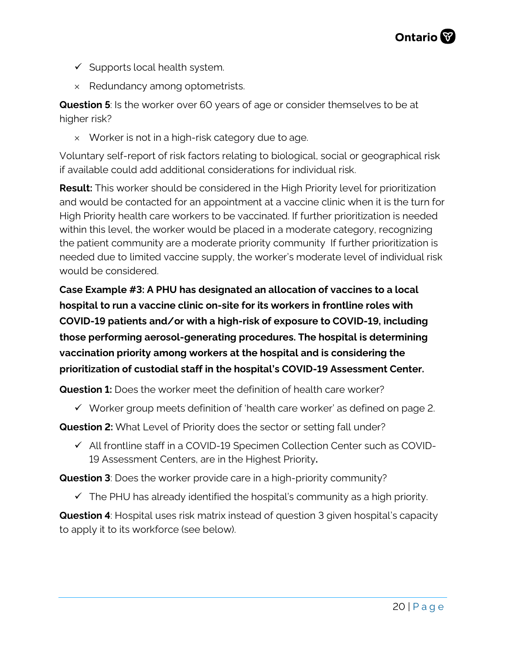

- $\checkmark$  Supports local health system.
- × Redundancy among optometrists.

**Question 5**: Is the worker over 60 years of age or consider themselves to be at higher risk?

 $\times$  Worker is not in a high-risk category due to age.

Voluntary self-report of risk factors relating to biological, social or geographical risk if available could add additional considerations for individual risk.

**Result:** This worker should be considered in the High Priority level for prioritization and would be contacted for an appointment at a vaccine clinic when it is the turn for High Priority health care workers to be vaccinated. If further prioritization is needed within this level, the worker would be placed in a moderate category, recognizing the patient community are a moderate priority community If further prioritization is needed due to limited vaccine supply, the worker's moderate level of individual risk would be considered.

**Case Example #3: A PHU has designated an allocation of vaccines to a local hospital to run a vaccine clinic on-site for its workers in frontline roles with COVID-19 patients and/or with a high-risk of exposure to COVID-19, including those performing aerosol-generating procedures. The hospital is determining vaccination priority among workers at the hospital and is considering the prioritization of custodial staff in the hospital's COVID-19 Assessment Center.** 

**Question 1:** Does the worker meet the definition of health care worker?

 $\checkmark$  Worker group meets definition of 'health care worker' as defined on page 2.

**Question 2:** What Level of Priority does the sector or setting fall under?

 $\checkmark$  All frontline staff in a COVID-19 Specimen Collection Center such as COVID-19 Assessment Centers, are in the Highest Priority**.**

**Question 3**: Does the worker provide care in a high-priority community?

 $\checkmark$  The PHU has already identified the hospital's community as a high priority.

**Question 4**: Hospital uses risk matrix instead of question 3 given hospital's capacity to apply it to its workforce (see below).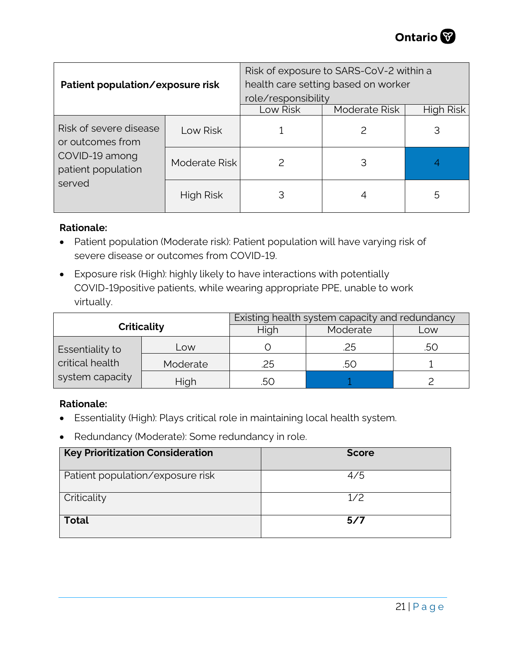| Patient population/exposure risk                                                             |               | Risk of exposure to SARS-CoV-2 within a<br>health care setting based on worker<br>role/responsibility |               |                  |
|----------------------------------------------------------------------------------------------|---------------|-------------------------------------------------------------------------------------------------------|---------------|------------------|
|                                                                                              |               | Low Risk                                                                                              | Moderate Risk | <b>High Risk</b> |
| Risk of severe disease<br>or outcomes from<br>COVID-19 among<br>patient population<br>served | Low Risk      |                                                                                                       |               | 3                |
|                                                                                              | Moderate Risk |                                                                                                       | 3             |                  |
|                                                                                              | High Risk     | 3                                                                                                     |               | 5                |

#### **Rationale:**

- Patient population (Moderate risk): Patient population will have varying risk of severe disease or outcomes from COVID-19.
- Exposure risk (High): highly likely to have interactions with potentially COVID-19positive patients, while wearing appropriate PPE, unable to work virtually.

| <b>Criticality</b> |          | Existing health system capacity and redundancy |          |     |  |
|--------------------|----------|------------------------------------------------|----------|-----|--|
|                    |          | High                                           | Moderate | Low |  |
| Essentiality to    | Low      |                                                | 25       | .50 |  |
| critical health    | Moderate | 25                                             | .50      |     |  |
| system capacity    | High     | .50                                            |          |     |  |

#### **Rationale:**

- Essentiality (High): Plays critical role in maintaining local health system.
- Redundancy (Moderate): Some redundancy in role.

| <b>Key Prioritization Consideration</b> | <b>Score</b> |
|-----------------------------------------|--------------|
| Patient population/exposure risk        | 4/5          |
| Criticality                             | 1/2          |
| <b>Total</b>                            | 5/7          |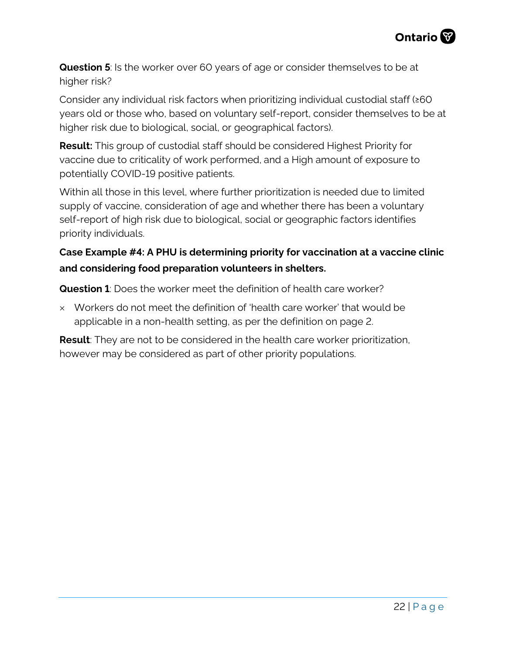

**Question 5**: Is the worker over 60 years of age or consider themselves to be at higher risk?

Consider any individual risk factors when prioritizing individual custodial staff (≥60 years old or those who, based on voluntary self-report, consider themselves to be at higher risk due to biological, social, or geographical factors).

**Result:** This group of custodial staff should be considered Highest Priority for vaccine due to criticality of work performed, and a High amount of exposure to potentially COVID-19 positive patients.

Within all those in this level, where further prioritization is needed due to limited supply of vaccine, consideration of age and whether there has been a voluntary self-report of high risk due to biological, social or geographic factors identifies priority individuals.

#### **Case Example #4: A PHU is determining priority for vaccination at a vaccine clinic and considering food preparation volunteers in shelters.**

**Question 1**: Does the worker meet the definition of health care worker?

 $\times$  Workers do not meet the definition of 'health care worker' that would be applicable in a non-health setting, as per the definition on page 2.

**Result**: They are not to be considered in the health care worker prioritization, however may be considered as part of other priority populations.